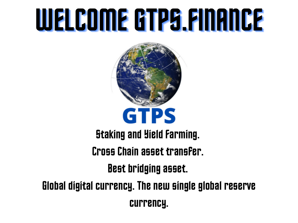### WELCOMEGTPS.FINANCE



#### **Staking and Yield Farming.**

#### Cross Chain asset transfer.

Best bridging asset.

Global digital currency. The new single global reserve currency.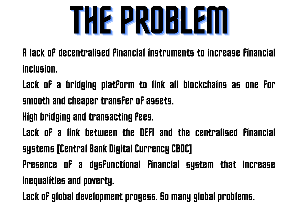

A lack of decentralised financial instruments to increase financial inclusion.

Lack of a bridging platform to link all blockchains as one for smooth and cheaper transfer of assets.

High bridging and transacting Fees.

Lack of a link between the DEFI and the centralised financial systems [Central Bank Digital Currency CBDC]

Presence of a dysfunctional financial system that increase inequalities and poverty.

Lack of global development progess. So many global problems.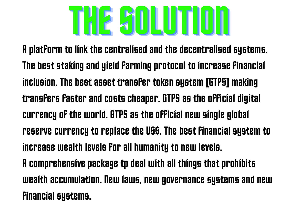# THESOLUTION

A platform to link the centralised and the decentralised systems. The best staking and yield farming protocol to increase Financial inclusion. The best asset transfer token system [GTPS] making transfers faster and costs cheaper. GTPS as the official digital currency of the world. GTPS as the official new single global reserve currency to replace the US\$. The best financial system to increase wealth levels for all humanity to new levels. A comprehensive package tp deal with all things that prohibits wealth accumulation. New laws, new governance systems and new financial systems.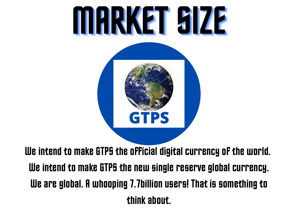

We intend to make GTPS the official digital currency of the world. We intend to make GTPS the new single reserve global currency. We are global. A whooping 7.7billion users! That is something to thinkabout.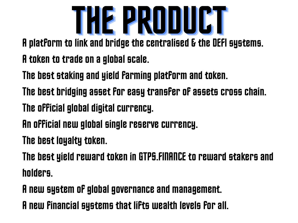

A platform to link and bridge the centralised & the DEFI systems.

- A token to trade on a global scale.
- The best staking and yield farming platform and token.
- The best bridging asset for easy transfer of assets cross chain.
- The official global digital currency.
- An official new global single reserve currency.
- The best loyalty token.

The best yield reward token in GTPS.FINANCE to reward stakers and holders.

Anew system of globalgovernanceand management.

A new Financial systems that lifts wealth levels for all.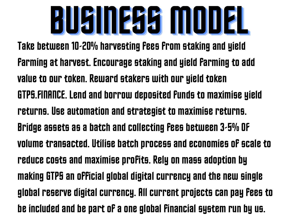### UKINESS MUUR

Take between 10-20% harvesting Fees From staking and yield Farming at harvest. Encourage staking and yield Farming to add value to our token. Reward stakers with our yield token GTPS.FINANCE. Lend and borrow deposited funds to maximise yield returns. Use automation and strategist to maximise returns. Bridge assets as a batch and collecting fees between 3-5% OF volume transacted. Utilise batch process and economies of scale to reduce costs and maximise profits. Rely on mass adoption by making GTPS an official global digital currency and the new single global reserve digital currency. All current projects can pay fees to be included and be part of a one global financial system run by us.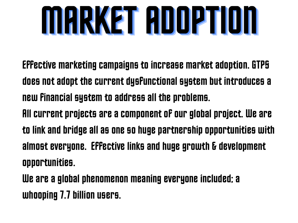

- Effective marketing campaigns to increase market adoption. GTPS does not adopt the current dysfunctional system but introduces a new Financial system to address all the problems.
- All current projects are a component of our global project. We are to link and bridge all as one so huge partnership opportunities with almost everyone. Effective links and huge growth & development opportunities.

We are a global phenomenon meaning everyone included; a whooping 7.7 billion users.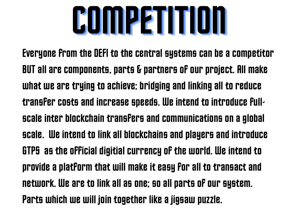## COMPETITION

Everyone from the DEFI to the central systems can be a competitor BUT all are components, parts & partners of our project. All make what we are trying to achieve; bridging and linking all to reduce transfer costs and increase speeds. We intend to introduce Fullscale inter blockchain transfers and communications on a global scale. We intend to link all blockchains and players and introduce GTPS as the official digitial currency of the world. We intend to provide a platform that will make it easy for all to transact and network. We are to link all as one; so all parts of our system. Parts which we will join together like a jigsaw puzzle.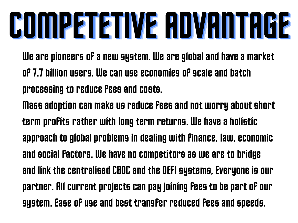## **PUTHPRTRTIVE HUVANTHUE**

We are pioneers of a new system. We are global and have a market of 7.7 billion users. We can use economies of scale and batch processing to reduce fees and costs.

Mass adoption can make us reduce fees and not worry about short term profits rather with long term returns. We have a holistic approach to global problems in dealing with Finance, law, economic and social factors. We have no competitors as we are to bridge and link the centralised CBDC and the DEFI systems, Everyone is our partner. All current projects can pay joining fees to be part of our system. Ease of use and best transfer reduced fees and speeds.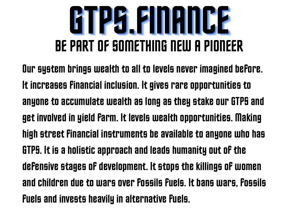#### **KARINHANGER** BE PART OF SOMETHING NEW A PIONEER

Our system brings wealth to all to levels never imagined before. It increases Financial inclusion. It gives rare opportunities to anyone to accumulate wealth as long as they stake our GTPS and get involved in yield Farm. It levels wealth opportunities. Making high street financial instruments be available to anyone who has GTPS. It is a holistic approach and leads humanity out of the defensive stages of development. It stops the killings of women and children due to wars over fossils fuels. It bans wars, fossils Fuels and invests heavily in alternative Fuels.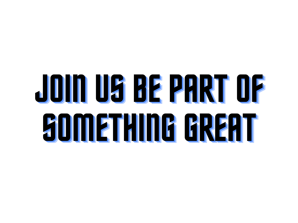## JOINUSBE PARTOF **SOMETHING GREAT**